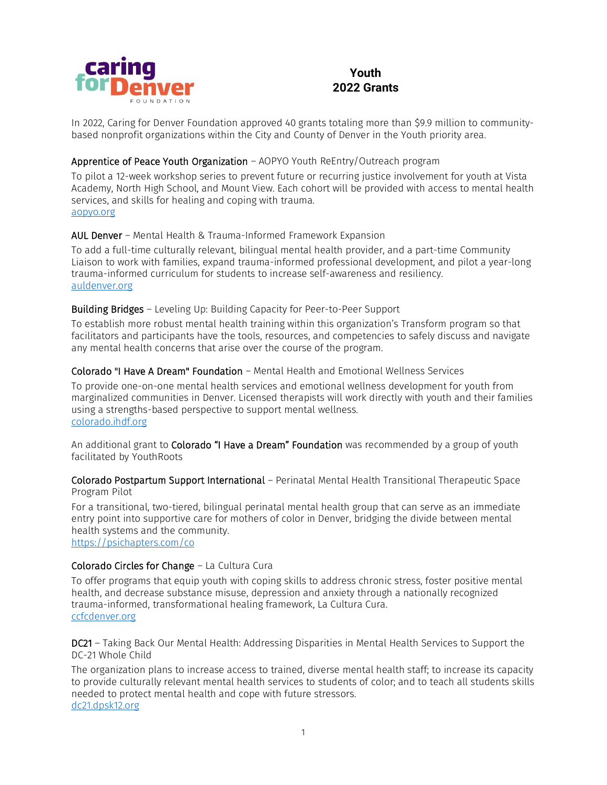

# **Youth 2022 Grants**

In 2022, Caring for Denver Foundation approved 40 grants totaling more than \$9.9 million to communitybased nonprofit organizations within the City and County of Denver in the Youth priority area.

## Apprentice of Peace Youth Organization – AOPYO Youth ReEntry/Outreach program

To pilot a 12-week workshop series to prevent future or recurring justice involvement for youth at Vista Academy, North High School, and Mount View. Each cohort will be provided with access to mental health services, and skills for healing and coping with trauma. [aopyo.org](https://aopyo.org/)

### AUL Denver – Mental Health & Trauma-Informed Framework Expansion

To add a full-time culturally relevant, bilingual mental health provider, and a part-time Community Liaison to work with families, expand trauma-informed professional development, and pilot a year-long trauma-informed curriculum for students to increase self-awareness and resiliency. [auldenver.org](http://www.auldenver.org/)

### Building Bridges – Leveling Up: Building Capacity for Peer-to-Peer Support

To establish more robust mental health training within this organization's Transform program so that facilitators and participants have the tools, resources, and competencies to safely discuss and navigate any mental health concerns that arise over the course of the program.

### Colorado "I Have A Dream" Foundation – Mental Health and Emotional Wellness Services

To provide one-on-one mental health services and emotional wellness development for youth from marginalized communities in Denver. Licensed therapists will work directly with youth and their families using a strengths-based perspective to support mental wellness. [colorado.ihdf.org](https://colorado.ihdf.org/)

An additional grant to Colorado "I Have a Dream" Foundation was recommended by a group of youth facilitated by YouthRoots

Colorado Postpartum Support International – Perinatal Mental Health Transitional Therapeutic Space Program Pilot

For a transitional, two-tiered, bilingual perinatal mental health group that can serve as an immediate entry point into supportive care for mothers of color in Denver, bridging the divide between mental health systems and the community.

[https://psichapters.com/co](https://psichapters.com/co/)

### Colorado Circles for Change – La Cultura Cura

To offer programs that equip youth with coping skills to address chronic stress, foster positive mental health, and decrease substance misuse, depression and anxiety through a nationally recognized trauma-informed, transformational healing framework, La Cultura Cura. [ccfcdenver.org](http://ccfcdenver.org/)

DC21 – Taking Back Our Mental Health: Addressing Disparities in Mental Health Services to Support the DC-21 Whole Child

The organization plans to increase access to trained, diverse mental health staff; to increase its capacity to provide culturally relevant mental health services to students of color; and to teach all students skills needed to protect mental health and cope with future stressors. [dc21.dpsk12.org](https://dc21.dpsk12.org/)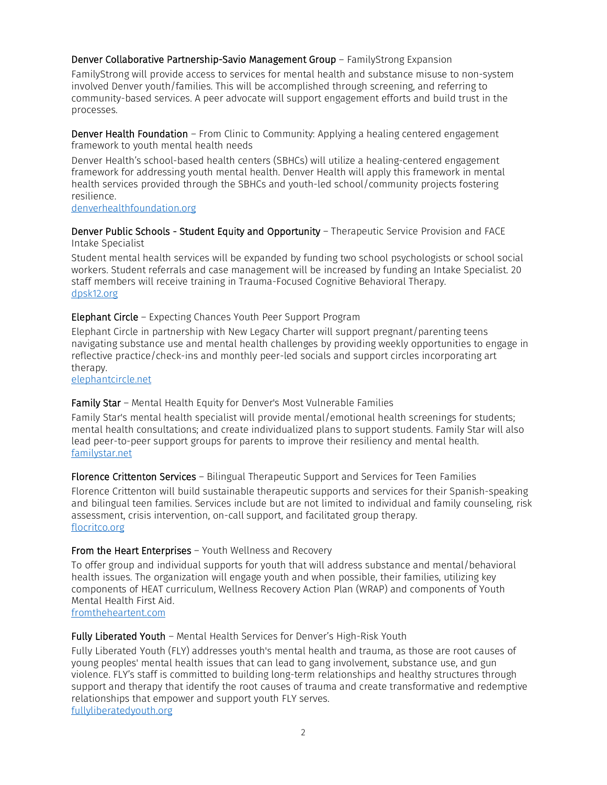### Denver Collaborative Partnership-Savio Management Group – FamilyStrong Expansion

FamilyStrong will provide access to services for mental health and substance misuse to non-system involved Denver youth/families. This will be accomplished through screening, and referring to community-based services. A peer advocate will support engagement efforts and build trust in the processes.

Denver Health Foundation – From Clinic to Community: Applying a healing centered engagement framework to youth mental health needs

Denver Health's school-based health centers (SBHCs) will utilize a healing-centered engagement framework for addressing youth mental health. Denver Health will apply this framework in mental health services provided through the SBHCs and youth-led school/community projects fostering resilience.

[denverhealthfoundation.org](https://denverhealthfoundation.org/)

Denver Public Schools - Student Equity and Opportunity – Therapeutic Service Provision and FACE Intake Specialist

Student mental health services will be expanded by funding two school psychologists or school social workers. Student referrals and case management will be increased by funding an Intake Specialist. 20 staff members will receive training in Trauma-Focused Cognitive Behavioral Therapy. [dpsk12.org](https://www.dpsk12.org/)

#### Elephant Circle – Expecting Chances Youth Peer Support Program

Elephant Circle in partnership with New Legacy Charter will support pregnant/parenting teens navigating substance use and mental health challenges by providing weekly opportunities to engage in reflective practice/check-ins and monthly peer-led socials and support circles incorporating art therapy.

[elephantcircle.net](https://elephantcircle.net/)

### Family Star – Mental Health Equity for Denver's Most Vulnerable Families

Family Star's mental health specialist will provide mental/emotional health screenings for students; mental health consultations; and create individualized plans to support students. Family Star will also lead peer-to-peer support groups for parents to improve their resiliency and mental health. [familystar.net](https://www.familystar.net/)

#### Florence Crittenton Services – Bilingual Therapeutic Support and Services for Teen Families

Florence Crittenton will build sustainable therapeutic supports and services for their Spanish-speaking and bilingual teen families. Services include but are not limited to individual and family counseling, risk assessment, crisis intervention, on-call support, and facilitated group therapy. [flocritco.org](https://flocritco.org/)

#### From the Heart Enterprises – Youth Wellness and Recovery

To offer group and individual supports for youth that will address substance and mental/behavioral health issues. The organization will engage youth and when possible, their families, utilizing key components of HEAT curriculum, Wellness Recovery Action Plan (WRAP) and components of Youth Mental Health First Aid.

[fromtheheartent.com](https://fromtheheartent.com/)

#### Fully Liberated Youth – Mental Health Services for Denver's High-Risk Youth

Fully Liberated Youth (FLY) addresses youth's mental health and trauma, as those are root causes of young peoples' mental health issues that can lead to gang involvement, substance use, and gun violence. FLY's staff is committed to building long-term relationships and healthy structures through support and therapy that identify the root causes of trauma and create transformative and redemptive relationships that empower and support youth FLY serves. [fullyliberatedyouth.org](https://fullyliberatedyouth.org/)

2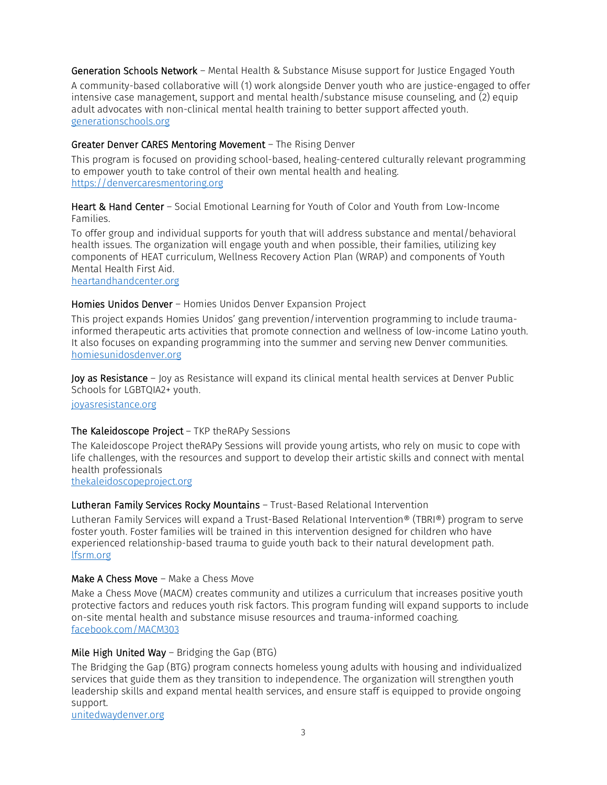Generation Schools Network – Mental Health & Substance Misuse support for Justice Engaged Youth

A community-based collaborative will (1) work alongside Denver youth who are justice-engaged to offer intensive case management, support and mental health/substance misuse counseling, and (2) equip adult advocates with non-clinical mental health training to better support affected youth. generationschools.org

### Greater Denver CARES Mentoring Movement – The Rising Denver

This program is focused on providing school-based, healing-centered culturally relevant programming to empower youth to take control of their own mental health and healing. [https://denvercaresmentoring.org](https://denvercaresmentoring.org/)

Heart & Hand Center – Social Emotional Learning for Youth of Color and Youth from Low-Income Families.

To offer group and individual supports for youth that will address substance and mental/behavioral health issues. The organization will engage youth and when possible, their families, utilizing key components of HEAT curriculum, Wellness Recovery Action Plan (WRAP) and components of Youth Mental Health First Aid.

[heartandhandcenter.org](https://hearthandcenter.org/)

### Homies Unidos Denver – Homies Unidos Denver Expansion Project

This project expands Homies Unidos' gang prevention/intervention programming to include traumainformed therapeutic arts activities that promote connection and wellness of low-income Latino youth. It also focuses on expanding programming into the summer and serving new Denver communities. [homiesunidosdenver.org](https://homiesunidosdenver.org/)

Joy as Resistance - Joy as Resistance will expand its clinical mental health services at Denver Public Schools for LGBTQIA2+ youth.

[joyasresistance.org](https://joyasresistance.org/)

### The Kaleidoscope Project - TKP theRAPy Sessions

The Kaleidoscope Project theRAPy Sessions will provide young artists, who rely on music to cope with life challenges, with the resources and support to develop their artistic skills and connect with mental health professionals

[thekaleidoscopeproject.org](https://thekaleidoscopeproject.org/)

### Lutheran Family Services Rocky Mountains – Trust-Based Relational Intervention

Lutheran Family Services will expand a Trust-Based Relational Intervention® (TBRI®) program to serve foster youth. Foster families will be trained in this intervention designed for children who have experienced relationship-based trauma to guide youth back to their natural development path. [lfsrm.org](https://lfsrm.org/)

### Make A Chess Move - Make a Chess Move

Make a Chess Move (MACM) creates community and utilizes a curriculum that increases positive youth protective factors and reduces youth risk factors. This program funding will expand supports to include on-site mental health and substance misuse resources and trauma-informed coaching. [facebook.com/MACM303](https://facebook.com/MACM303)

### Mile High United Way – Bridging the Gap (BTG)

The Bridging the Gap (BTG) program connects homeless young adults with housing and individualized services that guide them as they transition to independence. The organization will strengthen youth leadership skills and expand mental health services, and ensure staff is equipped to provide ongoing support.

[unitedwaydenver.org](https://unitedwaydenver.org/)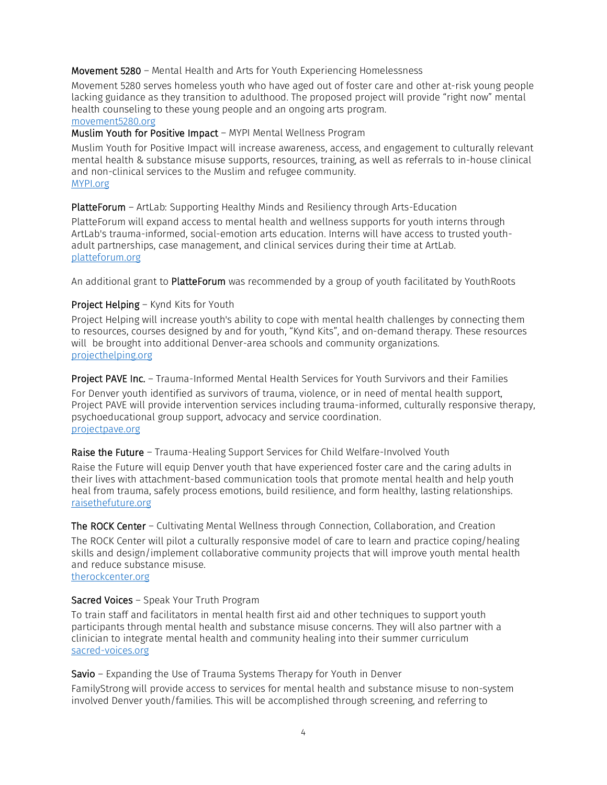### Movement 5280 – Mental Health and Arts for Youth Experiencing Homelessness

Movement 5280 serves homeless youth who have aged out of foster care and other at-risk young people lacking guidance as they transition to adulthood. The proposed project will provide "right now" mental health counseling to these young people and an ongoing arts program. movement5280.org

### Muslim Youth for Positive Impact – MYPI Mental Wellness Program

Muslim Youth for Positive Impact will increase awareness, access, and engagement to culturally relevant mental health & substance misuse supports, resources, training, as well as referrals to in-house clinical and non-clinical services to the Muslim and refugee community. [MYPI.org](https://mypi.org/)

### PlatteForum – ArtLab: Supporting Healthy Minds and Resiliency through Arts-Education

PlatteForum will expand access to mental health and wellness supports for youth interns through ArtLab's trauma-informed, social-emotion arts education. Interns will have access to trusted youthadult partnerships, case management, and clinical services during their time at ArtLab. [platteforum.org](https://platteforum.org/)

An additional grant to **PlatteForum** was recommended by a group of youth facilitated by YouthRoots

### Project Helping – Kynd Kits for Youth

Project Helping will increase youth's ability to cope with mental health challenges by connecting them to resources, courses designed by and for youth, "Kynd Kits", and on-demand therapy. These resources will be brought into additional Denver-area schools and community organizations. [projecthelping.org](https://projecthelping.org/)

Project PAVE Inc. – Trauma-Informed Mental Health Services for Youth Survivors and their Families For Denver youth identified as survivors of trauma, violence, or in need of mental health support, Project PAVE will provide intervention services including trauma-informed, culturally responsive therapy, psychoeducational group support, advocacy and service coordination. [projectpave.org](https://projectpave.org/)

### Raise the Future – Trauma-Healing Support Services for Child Welfare-Involved Youth

Raise the Future will equip Denver youth that have experienced foster care and the caring adults in their lives with attachment-based communication tools that promote mental health and help youth heal from trauma, safely process emotions, build resilience, and form healthy, lasting relationships. [raisethefuture.org](https://raisethefuture.org/)

The ROCK Center – Cultivating Mental Wellness through Connection, Collaboration, and Creation The ROCK Center will pilot a culturally responsive model of care to learn and practice coping/healing skills and design/implement collaborative community projects that will improve youth mental health and reduce substance misuse. [therockcenter.org](https://therockcenter.org/)

## Sacred Voices – Speak Your Truth Program

To train staff and facilitators in mental health first aid and other techniques to support youth participants through mental health and substance misuse concerns. They will also partner with a clinician to integrate mental health and community healing into their summer curriculum [sacred-voices.org](http://www.sacred-voices.org/)

Savio – Expanding the Use of Trauma Systems Therapy for Youth in Denver

FamilyStrong will provide access to services for mental health and substance misuse to non-system involved Denver youth/families. This will be accomplished through screening, and referring to